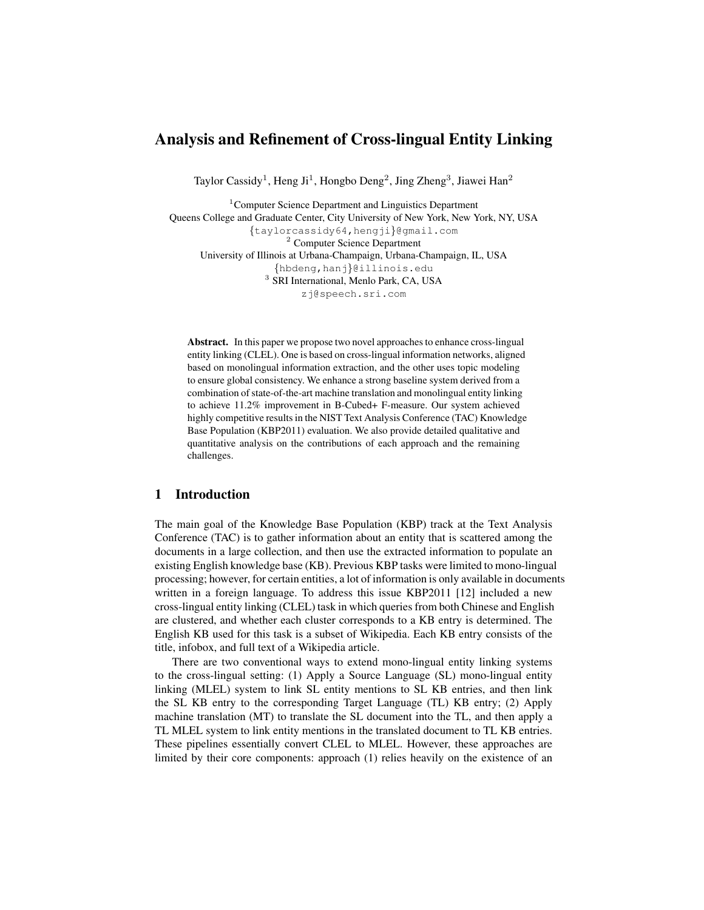# Analysis and Refinement of Cross-lingual Entity Linking

Taylor Cassidy<sup>1</sup>, Heng Ji<sup>1</sup>, Hongbo Deng<sup>2</sup>, Jing Zheng<sup>3</sup>, Jiawei Han<sup>2</sup>

<sup>1</sup>Computer Science Department and Linguistics Department Queens College and Graduate Center, City University of New York, New York, NY, USA {taylorcassidy64,hengji}@gmail.com <sup>2</sup> Computer Science Department University of Illinois at Urbana-Champaign, Urbana-Champaign, IL, USA {hbdeng,hanj}@illinois.edu 3 SRI International, Menlo Park, CA, USA zj@speech.sri.com

Abstract. In this paper we propose two novel approaches to enhance cross-lingual entity linking (CLEL). One is based on cross-lingual information networks, aligned based on monolingual information extraction, and the other uses topic modeling to ensure global consistency. We enhance a strong baseline system derived from a combination of state-of-the-art machine translation and monolingual entity linking to achieve 11.2% improvement in B-Cubed+ F-measure. Our system achieved highly competitive results in the NIST Text Analysis Conference (TAC) Knowledge Base Population (KBP2011) evaluation. We also provide detailed qualitative and quantitative analysis on the contributions of each approach and the remaining challenges.

# 1 Introduction

The main goal of the Knowledge Base Population (KBP) track at the Text Analysis Conference (TAC) is to gather information about an entity that is scattered among the documents in a large collection, and then use the extracted information to populate an existing English knowledge base (KB). Previous KBP tasks were limited to mono-lingual processing; however, for certain entities, a lot of information is only available in documents written in a foreign language. To address this issue KBP2011 [12] included a new cross-lingual entity linking (CLEL) task in which queries from both Chinese and English are clustered, and whether each cluster corresponds to a KB entry is determined. The English KB used for this task is a subset of Wikipedia. Each KB entry consists of the title, infobox, and full text of a Wikipedia article.

There are two conventional ways to extend mono-lingual entity linking systems to the cross-lingual setting: (1) Apply a Source Language (SL) mono-lingual entity linking (MLEL) system to link SL entity mentions to SL KB entries, and then link the SL KB entry to the corresponding Target Language (TL) KB entry; (2) Apply machine translation (MT) to translate the SL document into the TL, and then apply a TL MLEL system to link entity mentions in the translated document to TL KB entries. These pipelines essentially convert CLEL to MLEL. However, these approaches are limited by their core components: approach (1) relies heavily on the existence of an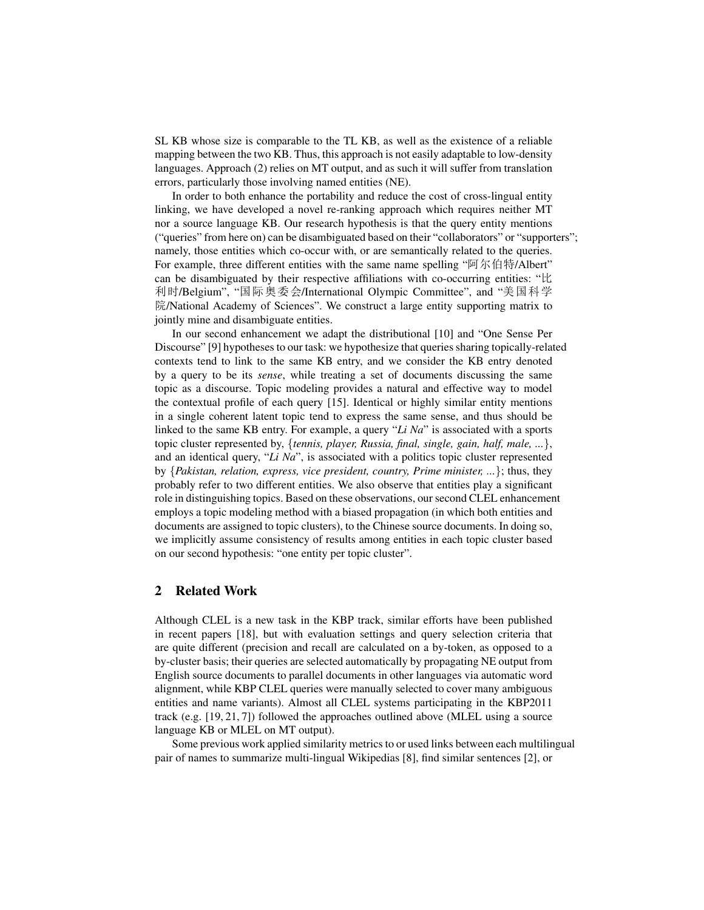SL KB whose size is comparable to the TL KB, as well as the existence of a reliable mapping between the two KB. Thus, this approach is not easily adaptable to low-density languages. Approach (2) relies on MT output, and as such it will suffer from translation errors, particularly those involving named entities (NE).

In order to both enhance the portability and reduce the cost of cross-lingual entity linking, we have developed a novel re-ranking approach which requires neither MT nor a source language KB. Our research hypothesis is that the query entity mentions ("queries" from here on) can be disambiguated based on their "collaborators" or "supporters"; namely, those entities which co-occur with, or are semantically related to the queries. For example, three different entities with the same name spelling "阿尔伯特/Albert" can be disambiguated by their respective affiliations with co-occurring entities: " $E$ 利时/Belgium", "国际奥委会/International Olympic Committee", and "美国科学 院/National Academy of Sciences". We construct a large entity supporting matrix to jointly mine and disambiguate entities.

In our second enhancement we adapt the distributional [10] and "One Sense Per Discourse" [9] hypotheses to our task: we hypothesize that queries sharing topically-related contexts tend to link to the same KB entry, and we consider the KB entry denoted by a query to be its *sense*, while treating a set of documents discussing the same topic as a discourse. Topic modeling provides a natural and effective way to model the contextual profile of each query [15]. Identical or highly similar entity mentions in a single coherent latent topic tend to express the same sense, and thus should be linked to the same KB entry. For example, a query "*Li Na*" is associated with a sports topic cluster represented by, {*tennis, player, Russia, final, single, gain, half, male, ...*}, and an identical query, "*Li Na*", is associated with a politics topic cluster represented by {*Pakistan, relation, express, vice president, country, Prime minister, ...*}; thus, they probably refer to two different entities. We also observe that entities play a significant role in distinguishing topics. Based on these observations, our second CLEL enhancement employs a topic modeling method with a biased propagation (in which both entities and documents are assigned to topic clusters), to the Chinese source documents. In doing so, we implicitly assume consistency of results among entities in each topic cluster based on our second hypothesis: "one entity per topic cluster".

# 2 Related Work

Although CLEL is a new task in the KBP track, similar efforts have been published in recent papers [18], but with evaluation settings and query selection criteria that are quite different (precision and recall are calculated on a by-token, as opposed to a by-cluster basis; their queries are selected automatically by propagating NE output from English source documents to parallel documents in other languages via automatic word alignment, while KBP CLEL queries were manually selected to cover many ambiguous entities and name variants). Almost all CLEL systems participating in the KBP2011 track (e.g. [19, 21, 7]) followed the approaches outlined above (MLEL using a source language KB or MLEL on MT output).

Some previous work applied similarity metrics to or used links between each multilingual pair of names to summarize multi-lingual Wikipedias [8], find similar sentences [2], or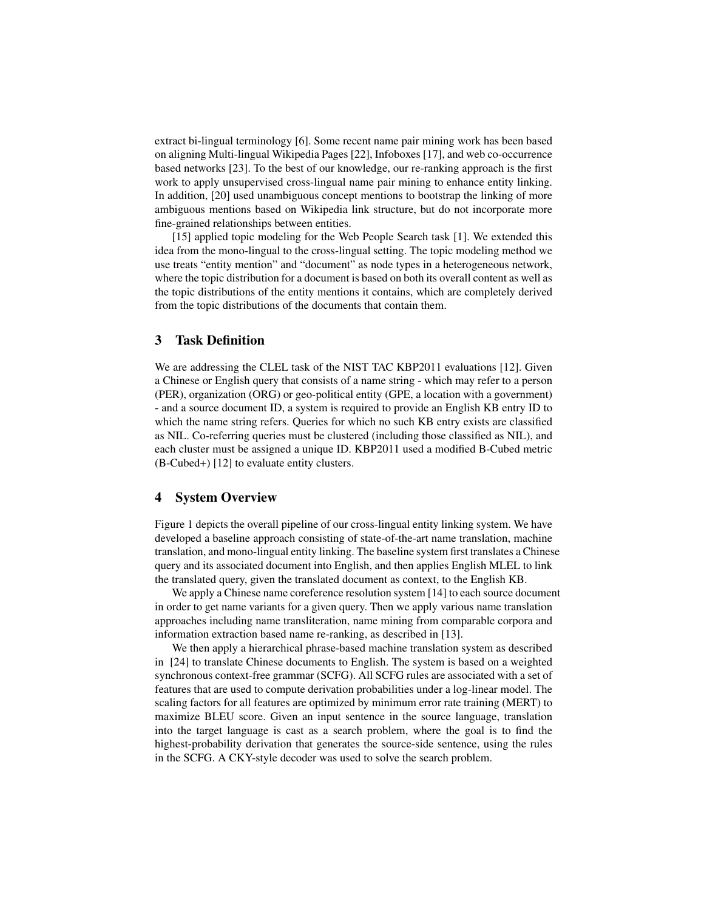extract bi-lingual terminology [6]. Some recent name pair mining work has been based on aligning Multi-lingual Wikipedia Pages [22], Infoboxes [17], and web co-occurrence based networks [23]. To the best of our knowledge, our re-ranking approach is the first work to apply unsupervised cross-lingual name pair mining to enhance entity linking. In addition, [20] used unambiguous concept mentions to bootstrap the linking of more ambiguous mentions based on Wikipedia link structure, but do not incorporate more fine-grained relationships between entities.

[15] applied topic modeling for the Web People Search task [1]. We extended this idea from the mono-lingual to the cross-lingual setting. The topic modeling method we use treats "entity mention" and "document" as node types in a heterogeneous network, where the topic distribution for a document is based on both its overall content as well as the topic distributions of the entity mentions it contains, which are completely derived from the topic distributions of the documents that contain them.

# 3 Task Definition

We are addressing the CLEL task of the NIST TAC KBP2011 evaluations [12]. Given a Chinese or English query that consists of a name string - which may refer to a person (PER), organization (ORG) or geo-political entity (GPE, a location with a government) - and a source document ID, a system is required to provide an English KB entry ID to which the name string refers. Queries for which no such KB entry exists are classified as NIL. Co-referring queries must be clustered (including those classified as NIL), and each cluster must be assigned a unique ID. KBP2011 used a modified B-Cubed metric (B-Cubed+) [12] to evaluate entity clusters.

# 4 System Overview

Figure 1 depicts the overall pipeline of our cross-lingual entity linking system. We have developed a baseline approach consisting of state-of-the-art name translation, machine translation, and mono-lingual entity linking. The baseline system first translates a Chinese query and its associated document into English, and then applies English MLEL to link the translated query, given the translated document as context, to the English KB.

We apply a Chinese name coreference resolution system [14] to each source document in order to get name variants for a given query. Then we apply various name translation approaches including name transliteration, name mining from comparable corpora and information extraction based name re-ranking, as described in [13].

We then apply a hierarchical phrase-based machine translation system as described in [24] to translate Chinese documents to English. The system is based on a weighted synchronous context-free grammar (SCFG). All SCFG rules are associated with a set of features that are used to compute derivation probabilities under a log-linear model. The scaling factors for all features are optimized by minimum error rate training (MERT) to maximize BLEU score. Given an input sentence in the source language, translation into the target language is cast as a search problem, where the goal is to find the highest-probability derivation that generates the source-side sentence, using the rules in the SCFG. A CKY-style decoder was used to solve the search problem.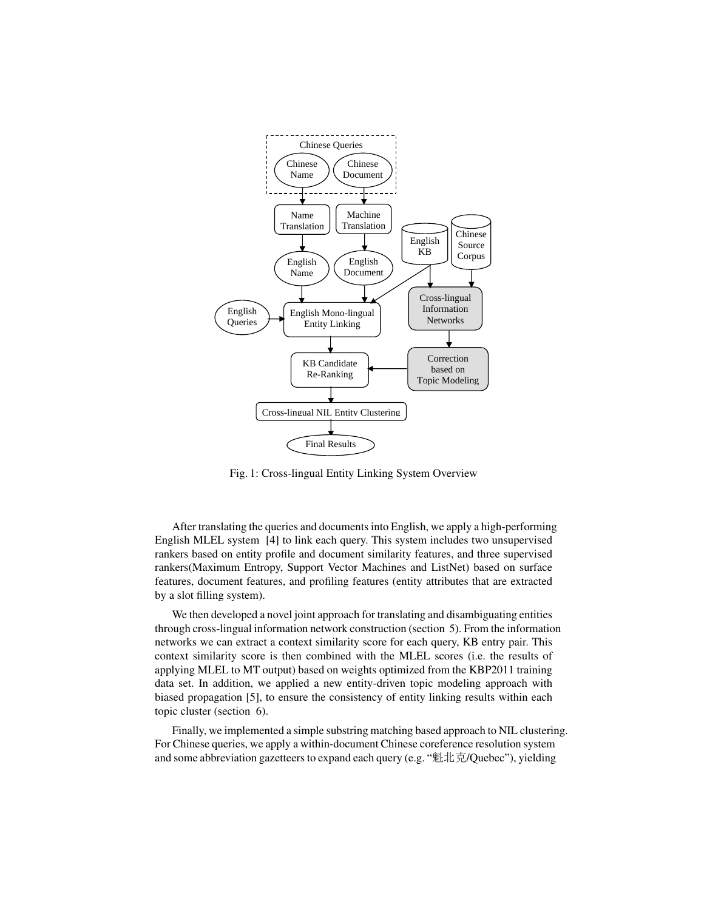

Fig. 1: Cross-lingual Entity Linking System Overview

After translating the queries and documents into English, we apply a high-performing English MLEL system [4] to link each query. This system includes two unsupervised rankers based on entity profile and document similarity features, and three supervised rankers(Maximum Entropy, Support Vector Machines and ListNet) based on surface features, document features, and profiling features (entity attributes that are extracted by a slot filling system).

We then developed a novel joint approach for translating and disambiguating entities through cross-lingual information network construction (section 5). From the information networks we can extract a context similarity score for each query, KB entry pair. This context similarity score is then combined with the MLEL scores (i.e. the results of applying MLEL to MT output) based on weights optimized from the KBP2011 training data set. In addition, we applied a new entity-driven topic modeling approach with biased propagation [5], to ensure the consistency of entity linking results within each topic cluster (section 6).

Finally, we implemented a simple substring matching based approach to NIL clustering. For Chinese queries, we apply a within-document Chinese coreference resolution system and some abbreviation gazetteers to expand each query (e.g. "魁北克/Quebec"), yielding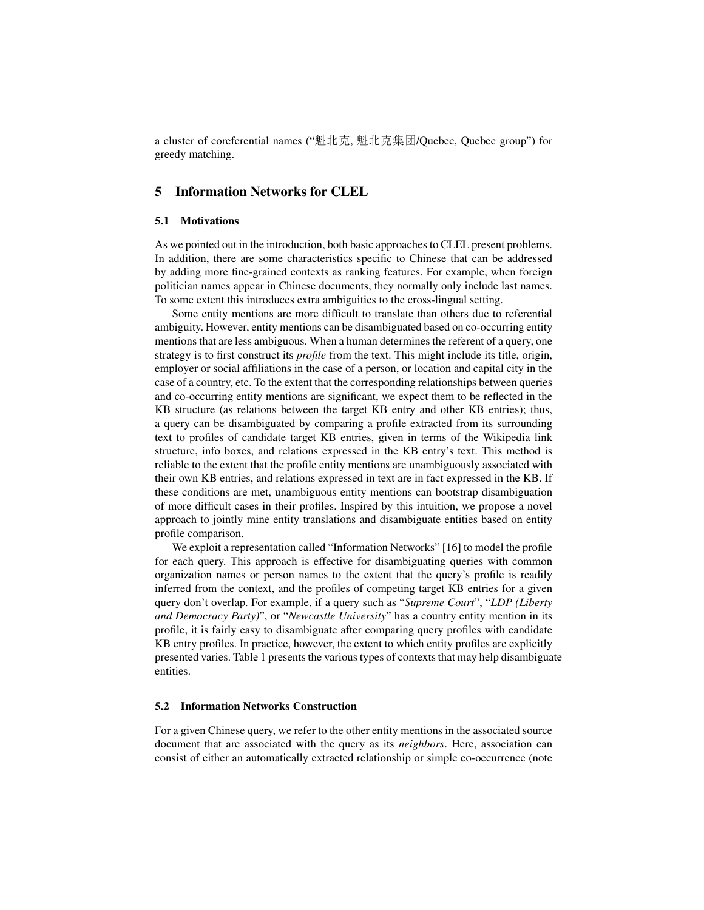a cluster of coreferential names ("魁北克, 魁北克集团/Quebec, Quebec group") for greedy matching.

### 5 Information Networks for CLEL

### 5.1 Motivations

As we pointed out in the introduction, both basic approaches to CLEL present problems. In addition, there are some characteristics specific to Chinese that can be addressed by adding more fine-grained contexts as ranking features. For example, when foreign politician names appear in Chinese documents, they normally only include last names. To some extent this introduces extra ambiguities to the cross-lingual setting.

Some entity mentions are more difficult to translate than others due to referential ambiguity. However, entity mentions can be disambiguated based on co-occurring entity mentions that are less ambiguous. When a human determines the referent of a query, one strategy is to first construct its *profile* from the text. This might include its title, origin, employer or social affiliations in the case of a person, or location and capital city in the case of a country, etc. To the extent that the corresponding relationships between queries and co-occurring entity mentions are significant, we expect them to be reflected in the KB structure (as relations between the target KB entry and other KB entries); thus, a query can be disambiguated by comparing a profile extracted from its surrounding text to profiles of candidate target KB entries, given in terms of the Wikipedia link structure, info boxes, and relations expressed in the KB entry's text. This method is reliable to the extent that the profile entity mentions are unambiguously associated with their own KB entries, and relations expressed in text are in fact expressed in the KB. If these conditions are met, unambiguous entity mentions can bootstrap disambiguation of more difficult cases in their profiles. Inspired by this intuition, we propose a novel approach to jointly mine entity translations and disambiguate entities based on entity profile comparison.

We exploit a representation called "Information Networks" [16] to model the profile for each query. This approach is effective for disambiguating queries with common organization names or person names to the extent that the query's profile is readily inferred from the context, and the profiles of competing target KB entries for a given query don't overlap. For example, if a query such as "*Supreme Court*", "*LDP (Liberty and Democracy Party)*", or "*Newcastle University*" has a country entity mention in its profile, it is fairly easy to disambiguate after comparing query profiles with candidate KB entry profiles. In practice, however, the extent to which entity profiles are explicitly presented varies. Table 1 presents the various types of contexts that may help disambiguate entities.

#### 5.2 Information Networks Construction

For a given Chinese query, we refer to the other entity mentions in the associated source document that are associated with the query as its *neighbors*. Here, association can consist of either an automatically extracted relationship or simple co-occurrence (note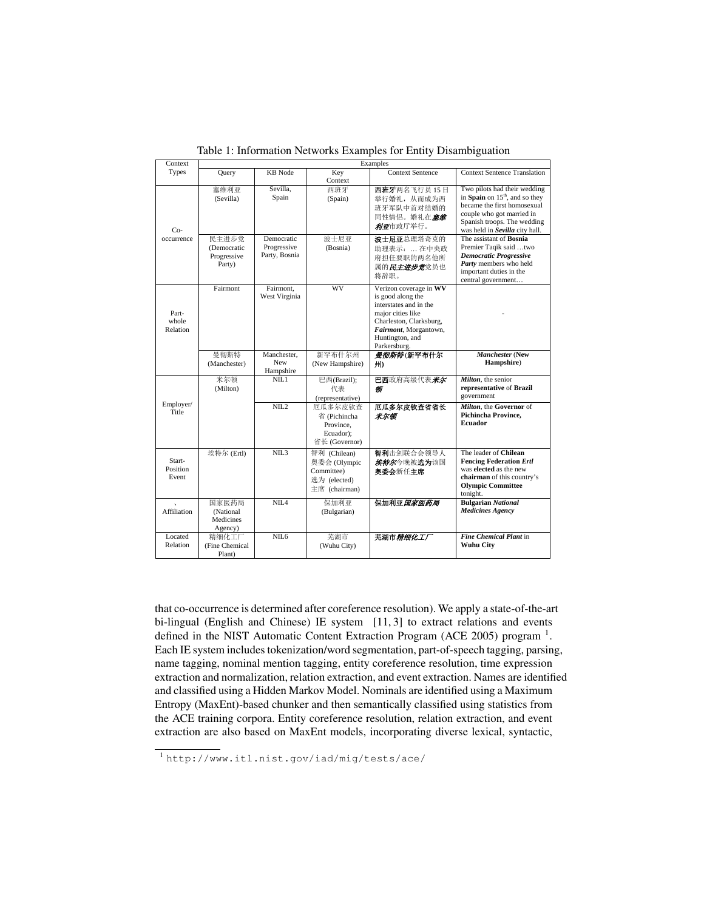| Context                     | Examples                                      |                                            |                                                                             |                                                                                                                                                                                   |                                                                                                                                                                                                         |  |  |  |  |
|-----------------------------|-----------------------------------------------|--------------------------------------------|-----------------------------------------------------------------------------|-----------------------------------------------------------------------------------------------------------------------------------------------------------------------------------|---------------------------------------------------------------------------------------------------------------------------------------------------------------------------------------------------------|--|--|--|--|
| Types                       | Query                                         | <b>KB</b> Node                             | Key<br>Context                                                              | <b>Context Sentence</b>                                                                                                                                                           | <b>Context Sentence Translation</b>                                                                                                                                                                     |  |  |  |  |
| $Co-$<br>occurrence         | 寒维利亚<br>(Sevilla)                             | Sevilla,<br>Spain                          | 西班牙<br>(Spain)                                                              | 西班牙两名飞行员 15日<br>举行婚礼, 从而成为西<br>班牙军队中首对结婚的<br>同性情侣。婚礼在 <b><i>塞维</i></b><br>利亚市政厅举行。                                                                                                | Two pilots had their wedding<br>in Spain on 15 <sup>th</sup> , and so they<br>became the first homosexual<br>couple who got married in<br>Spanish troops. The wedding<br>was held in Sevilla city hall. |  |  |  |  |
|                             | 民主讲步党<br>(Democratic<br>Progressive<br>Party) | Democratic<br>Progressive<br>Party, Bosnia | 波士尼亚<br>(Bosnia)                                                            | 波士尼亚总理塔奇克的<br>助理表示:  在中央政<br>府担任要职的两名他所<br>属的 <i>民主进步党</i> 党员也<br>将辞职。                                                                                                            | The assistant of Bosnia<br>Premier Taqik said two<br><b>Democratic Progressive</b><br>Party members who held<br>important duties in the<br>central government                                           |  |  |  |  |
| Part-<br>whole<br>Relation  | Fairmont                                      | Fairmont.<br>West Virginia                 | WV                                                                          | Verizon coverage in WV<br>is good along the<br>interstates and in the<br>major cities like<br>Charleston, Clarksburg,<br>Fairmont, Morgantown,<br>Huntington, and<br>Parkersburg. |                                                                                                                                                                                                         |  |  |  |  |
|                             | 曼彻斯特<br>(Manchester)                          | Manchester.<br>New<br>Hampshire            | 新罕布什尔州<br>(New Hampshire)                                                   | 曼彻斯特(新罕布什尔<br>MI)                                                                                                                                                                 | Manchester (New<br>Hampshire)                                                                                                                                                                           |  |  |  |  |
| Employer/<br>Title          | 米尔顿<br>(Milton)                               | NIL <sub>1</sub>                           | 巴西(Brazil);<br>代表<br>(representative)                                       | 巴西政府高级代表米尔<br>顿                                                                                                                                                                   | Milton, the senior<br>representative of Brazil<br>government                                                                                                                                            |  |  |  |  |
|                             |                                               | NII.2                                      | 厄瓜多尔皮钦查<br>省 (Pichincha<br>Province.<br>Ecuador);<br>省长 (Governor)          | 厄瓜多尔皮钦查省省长<br>米尔顿                                                                                                                                                                 | Milton, the Governor of<br><b>Pichincha Province,</b><br><b>Ecuador</b>                                                                                                                                 |  |  |  |  |
| Start-<br>Position<br>Event | 埃特尔 (Ertl)                                    | NIL <sub>3</sub>                           | 智利 (Chilean)<br>奥委会 (Olympic<br>Committee)<br>选为 (elected)<br>主席 (chairman) | 智利击剑联合会领导人<br>埃特尔今晚被选为该国<br>奥委会新任主席                                                                                                                                               | The leader of Chilean<br><b>Fencing Federation Ertl</b><br>was elected as the new<br>chairman of this country's<br><b>Olympic Committee</b><br>tonight.                                                 |  |  |  |  |
| Affiliation                 | 国家医药局<br>(National<br>Medicines<br>Agency)    | NIL <sub>4</sub>                           | 保加利亚<br>(Bulgarian)                                                         | 保加利亚 <i>国家医药局</i>                                                                                                                                                                 | <b>Bulgarian National</b><br><b>Medicines Agency</b>                                                                                                                                                    |  |  |  |  |
| Located<br>Relation         | 精细化工厂<br>(Fine Chemical<br>Plant)             | NIL <sub>6</sub>                           | 芜湖市<br>(Wuhu City)                                                          | 芜湖市 <i>精细化工厂</i>                                                                                                                                                                  | Fine Chemical Plant in<br>Wuhu City                                                                                                                                                                     |  |  |  |  |

Table 1: Information Networks Examples for Entity Disambiguation

that co-occurrence is determined after coreference resolution). We apply a state-of-the-art bi-lingual (English and Chinese) IE system [11, 3] to extract relations and events defined in the NIST Automatic Content Extraction Program (ACE 2005) program <sup>1</sup>. Each IE system includes tokenization/word segmentation, part-of-speech tagging, parsing, name tagging, nominal mention tagging, entity coreference resolution, time expression extraction and normalization, relation extraction, and event extraction. Names are identified and classified using a Hidden Markov Model. Nominals are identified using a Maximum Entropy (MaxEnt)-based chunker and then semantically classified using statistics from the ACE training corpora. Entity coreference resolution, relation extraction, and event extraction are also based on MaxEnt models, incorporating diverse lexical, syntactic,

<sup>1</sup> http://www.itl.nist.gov/iad/mig/tests/ace/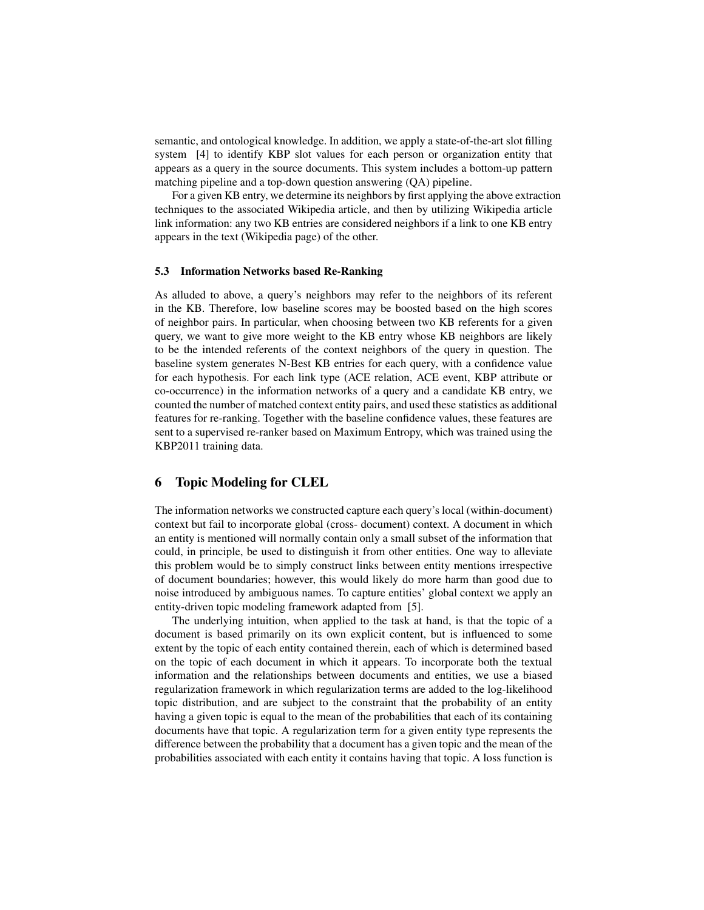semantic, and ontological knowledge. In addition, we apply a state-of-the-art slot filling system [4] to identify KBP slot values for each person or organization entity that appears as a query in the source documents. This system includes a bottom-up pattern matching pipeline and a top-down question answering (QA) pipeline.

For a given KB entry, we determine its neighbors by first applying the above extraction techniques to the associated Wikipedia article, and then by utilizing Wikipedia article link information: any two KB entries are considered neighbors if a link to one KB entry appears in the text (Wikipedia page) of the other.

#### 5.3 Information Networks based Re-Ranking

As alluded to above, a query's neighbors may refer to the neighbors of its referent in the KB. Therefore, low baseline scores may be boosted based on the high scores of neighbor pairs. In particular, when choosing between two KB referents for a given query, we want to give more weight to the KB entry whose KB neighbors are likely to be the intended referents of the context neighbors of the query in question. The baseline system generates N-Best KB entries for each query, with a confidence value for each hypothesis. For each link type (ACE relation, ACE event, KBP attribute or co-occurrence) in the information networks of a query and a candidate KB entry, we counted the number of matched context entity pairs, and used these statistics as additional features for re-ranking. Together with the baseline confidence values, these features are sent to a supervised re-ranker based on Maximum Entropy, which was trained using the KBP2011 training data.

# 6 Topic Modeling for CLEL

The information networks we constructed capture each query's local (within-document) context but fail to incorporate global (cross- document) context. A document in which an entity is mentioned will normally contain only a small subset of the information that could, in principle, be used to distinguish it from other entities. One way to alleviate this problem would be to simply construct links between entity mentions irrespective of document boundaries; however, this would likely do more harm than good due to noise introduced by ambiguous names. To capture entities' global context we apply an entity-driven topic modeling framework adapted from [5].

The underlying intuition, when applied to the task at hand, is that the topic of a document is based primarily on its own explicit content, but is influenced to some extent by the topic of each entity contained therein, each of which is determined based on the topic of each document in which it appears. To incorporate both the textual information and the relationships between documents and entities, we use a biased regularization framework in which regularization terms are added to the log-likelihood topic distribution, and are subject to the constraint that the probability of an entity having a given topic is equal to the mean of the probabilities that each of its containing documents have that topic. A regularization term for a given entity type represents the difference between the probability that a document has a given topic and the mean of the probabilities associated with each entity it contains having that topic. A loss function is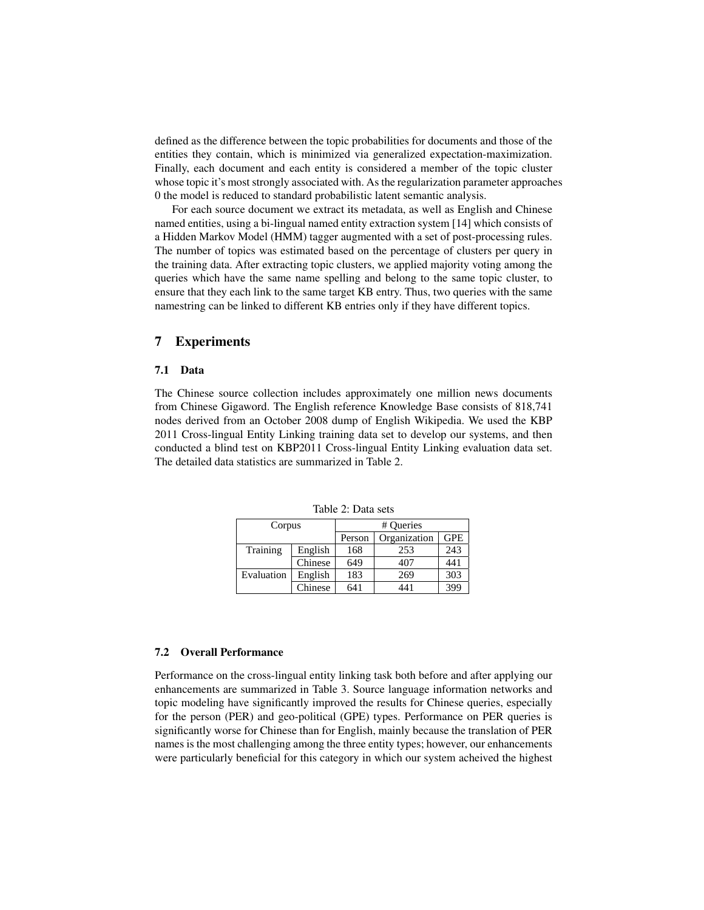defined as the difference between the topic probabilities for documents and those of the entities they contain, which is minimized via generalized expectation-maximization. Finally, each document and each entity is considered a member of the topic cluster whose topic it's most strongly associated with. As the regularization parameter approaches 0 the model is reduced to standard probabilistic latent semantic analysis.

For each source document we extract its metadata, as well as English and Chinese named entities, using a bi-lingual named entity extraction system [14] which consists of a Hidden Markov Model (HMM) tagger augmented with a set of post-processing rules. The number of topics was estimated based on the percentage of clusters per query in the training data. After extracting topic clusters, we applied majority voting among the queries which have the same name spelling and belong to the same topic cluster, to ensure that they each link to the same target KB entry. Thus, two queries with the same namestring can be linked to different KB entries only if they have different topics.

# 7 Experiments

#### 7.1 Data

The Chinese source collection includes approximately one million news documents from Chinese Gigaword. The English reference Knowledge Base consists of 818,741 nodes derived from an October 2008 dump of English Wikipedia. We used the KBP 2011 Cross-lingual Entity Linking training data set to develop our systems, and then conducted a blind test on KBP2011 Cross-lingual Entity Linking evaluation data set. The detailed data statistics are summarized in Table 2.

| Corpus     |         | # Oueries |              |            |  |  |  |  |
|------------|---------|-----------|--------------|------------|--|--|--|--|
|            |         | Person    | Organization | <b>GPE</b> |  |  |  |  |
| Training   | English | 168       | 253          | 243        |  |  |  |  |
|            | Chinese | 649       | 407          | 441        |  |  |  |  |
| Evaluation | English | 183       | 269          | 303        |  |  |  |  |
|            | Chinese | 641       | 441          | 399        |  |  |  |  |

Table 2: Data sets

#### 7.2 Overall Performance

Performance on the cross-lingual entity linking task both before and after applying our enhancements are summarized in Table 3. Source language information networks and topic modeling have significantly improved the results for Chinese queries, especially for the person (PER) and geo-political (GPE) types. Performance on PER queries is significantly worse for Chinese than for English, mainly because the translation of PER names is the most challenging among the three entity types; however, our enhancements were particularly beneficial for this category in which our system acheived the highest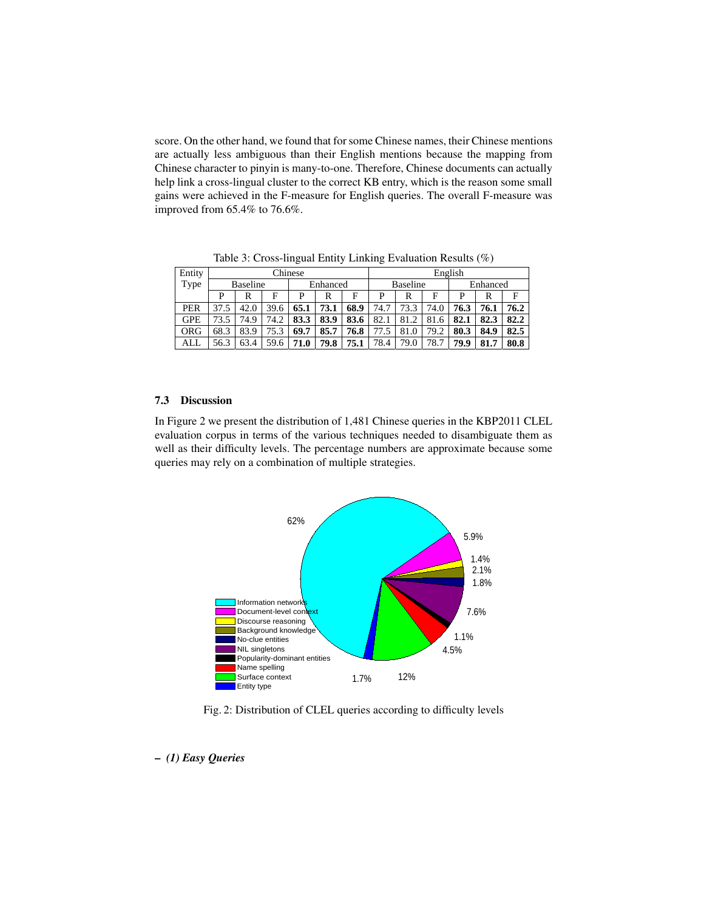score. On the other hand, we found that for some Chinese names, their Chinese mentions are actually less ambiguous than their English mentions because the mapping from Chinese character to pinyin is many-to-one. Therefore, Chinese documents can actually help link a cross-lingual cluster to the correct KB entry, which is the reason some small gains were achieved in the F-measure for English queries. The overall F-measure was improved from 65.4% to 76.6%.

| Entity     | Chinese         |      |          |      |                 | English |          |      |      |      |      |      |
|------------|-----------------|------|----------|------|-----------------|---------|----------|------|------|------|------|------|
| Type       | <b>Baseline</b> |      | Enhanced |      | <b>Baseline</b> |         | Enhanced |      |      |      |      |      |
|            | P               | R    | F        |      | R               | F       | P        | R    |      | р    | R    | F    |
| PER        | 37.5            | 42.0 | 39.6     | 65.1 | 73.1            | 68.9    | 74.7     | 73.3 | 74.0 | 76.3 | 76.1 | 76.2 |
| <b>GPE</b> | 73.5            | 74.9 | 74.2     | 83.3 | 83.9            | 83.6    | 82.1     | 81.2 | 81.6 | 82.1 | 82.3 | 82.2 |
| <b>ORG</b> | 68.3            | 83.9 | 75.3     | 69.7 | 85.7            | 76.8    | 77.5     | 81.0 | 79.2 | 80.3 | 84.9 | 82.5 |
| ALL        | 56.3            | 63.4 | 59.6     | 71.0 | 79.8            | 75.1    | 78.4     | 79.0 | 78.7 | 79.9 | 81.7 | 80.8 |

Table 3: Cross-lingual Entity Linking Evaluation Results (%)

#### 7.3 Discussion

In Figure 2 we present the distribution of 1,481 Chinese queries in the KBP2011 CLEL evaluation corpus in terms of the various techniques needed to disambiguate them as well as their difficulty levels. The percentage numbers are approximate because some queries may rely on a combination of multiple strategies.



Fig. 2: Distribution of CLEL queries according to difficulty levels

– *(1) Easy Queries*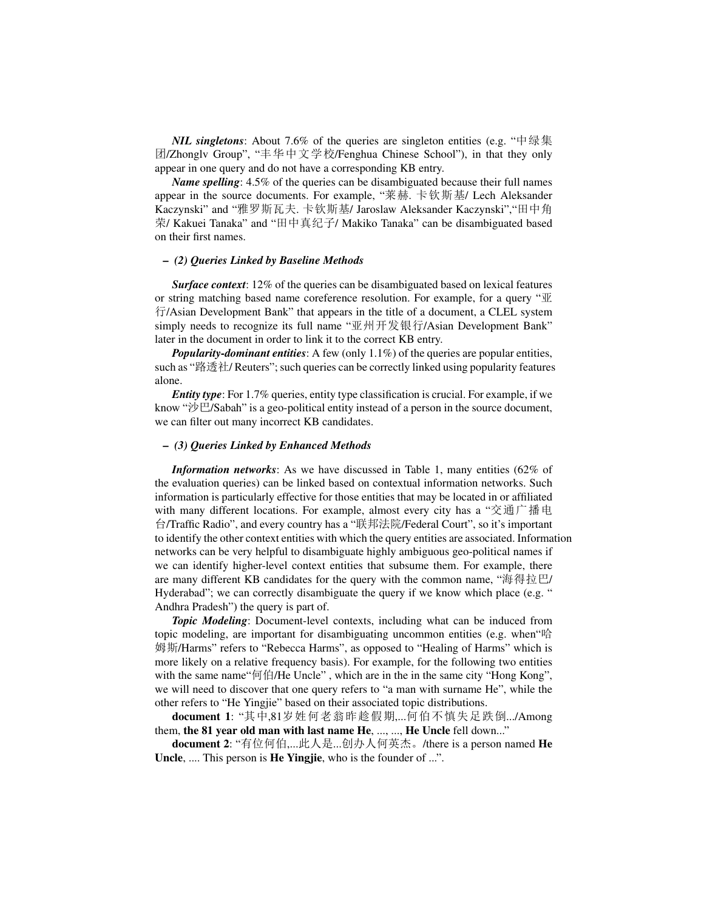*NIL singletons*: About 7.6% of the queries are singleton entities (e.g. "-ˇÆ 团/Zhongly Group", "丰华中文学校/Fenghua Chinese School"), in that they only appear in one query and do not have a corresponding KB entry.

*Name spelling*: 4.5% of the queries can be disambiguated because their full names appear in the source documents. For example, "莱赫. 卡钦斯基/ Lech Aleksander Kaczynski" and "雅罗斯瓦夫. 卡钦斯基/ Jaroslaw Aleksander Kaczynski", "田中角 荣/ Kakuei Tanaka" and "田中真纪子/ Makiko Tanaka" can be disambiguated based on their first names.

### – *(2) Queries Linked by Baseline Methods*

*Surface context*: 12% of the queries can be disambiguated based on lexical features or string matching based name coreference resolution. For example, for a query " $\mathbb {E}$  $\overline{\text{f7}}$ /Asian Development Bank" that appears in the title of a document, a CLEL system simply needs to recognize its full name "亚州开发银行/Asian Development Bank" later in the document in order to link it to the correct KB entry.

*Popularity-dominant entities*: A few (only 1.1%) of the queries are popular entities, such as "路透社/ Reuters"; such queries can be correctly linked using popularity features alone.

*Entity type*: For 1.7% queries, entity type classification is crucial. For example, if we know " $\mathcal{W} \boxtimes$ /Sabah" is a geo-political entity instead of a person in the source document, we can filter out many incorrect KB candidates.

#### – *(3) Queries Linked by Enhanced Methods*

*Information networks*: As we have discussed in Table 1, many entities (62% of the evaluation queries) can be linked based on contextual information networks. Such information is particularly effective for those entities that may be located in or affiliated with many different locations. For example, almost every city has a "交通广播电 台/Traffic Radio", and every country has a "联邦法院/Federal Court", so it's important to identify the other context entities with which the query entities are associated. Information networks can be very helpful to disambiguate highly ambiguous geo-political names if we can identify higher-level context entities that subsume them. For example, there are many different KB candidates for the query with the common name, " $\frac{m}{\sqrt{2}}\oplus N/$ Hyderabad"; we can correctly disambiguate the query if we know which place (e.g. " Andhra Pradesh") the query is part of.

*Topic Modeling*: Document-level contexts, including what can be induced from topic modeling, are important for disambiguating uncommon entities (e.g. when  $\theta$ ) 姆斯/Harms" refers to "Rebecca Harms", as opposed to "Healing of Harms" which is more likely on a relative frequency basis). For example, for the following two entities with the same name"何伯/He Uncle", which are in the in the same city "Hong Kong", we will need to discover that one query refers to "a man with surname He", while the other refers to "He Yingjie" based on their associated topic distributions.

document 1: "其中,81岁姓何老翁昨趁假期,...何伯不慎失足跌倒.../Among them, the 81 year old man with last name He, ..., ..., He Uncle fell down..."

document 2: "有位何伯,...此人是...创办人何英杰。/there is a person named He Uncle, .... This person is He Yingjie, who is the founder of ...".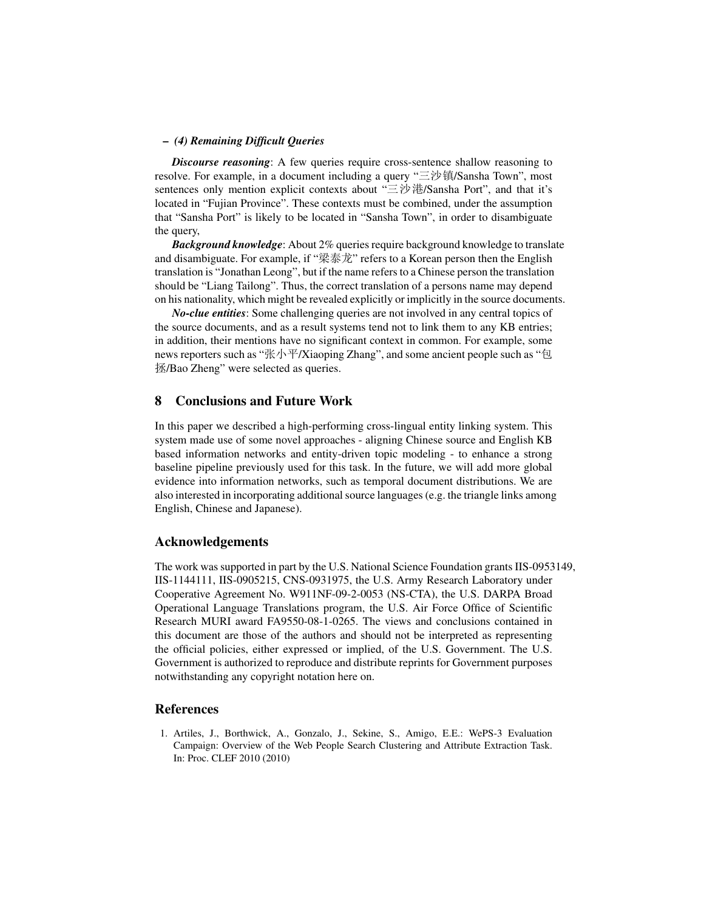### – *(4) Remaining Difficult Queries*

*Discourse reasoning*: A few queries require cross-sentence shallow reasoning to resolve. For example, in a document including a query "三沙镇/Sansha Town", most sentences only mention explicit contexts about " $\equiv$   $\mathcal{V}\ddot{\equiv}$  /Sansha Port", and that it's located in "Fujian Province". These contexts must be combined, under the assumption that "Sansha Port" is likely to be located in "Sansha Town", in order to disambiguate the query.

*Background knowledge*: About 2% queries require background knowledge to translate and disambiguate. For example, if "梁泰龙" refers to a Korean person then the English translation is "Jonathan Leong", but if the name refers to a Chinese person the translation should be "Liang Tailong". Thus, the correct translation of a persons name may depend on his nationality, which might be revealed explicitly or implicitly in the source documents.

*No-clue entities*: Some challenging queries are not involved in any central topics of the source documents, and as a result systems tend not to link them to any KB entries; in addition, their mentions have no significant context in common. For example, some news reporters such as " $\&$   $\forall$   $\forall$   $\forall$   $X$ iaoping Zhang", and some ancient people such as " $\oplus$ 拯/Bao Zheng" were selected as queries.

### 8 Conclusions and Future Work

In this paper we described a high-performing cross-lingual entity linking system. This system made use of some novel approaches - aligning Chinese source and English KB based information networks and entity-driven topic modeling - to enhance a strong baseline pipeline previously used for this task. In the future, we will add more global evidence into information networks, such as temporal document distributions. We are also interested in incorporating additional source languages (e.g. the triangle links among English, Chinese and Japanese).

### Acknowledgements

The work was supported in part by the U.S. National Science Foundation grants IIS-0953149, IIS-1144111, IIS-0905215, CNS-0931975, the U.S. Army Research Laboratory under Cooperative Agreement No. W911NF-09-2-0053 (NS-CTA), the U.S. DARPA Broad Operational Language Translations program, the U.S. Air Force Office of Scientific Research MURI award FA9550-08-1-0265. The views and conclusions contained in this document are those of the authors and should not be interpreted as representing the official policies, either expressed or implied, of the U.S. Government. The U.S. Government is authorized to reproduce and distribute reprints for Government purposes notwithstanding any copyright notation here on.

### References

1. Artiles, J., Borthwick, A., Gonzalo, J., Sekine, S., Amigo, E.E.: WePS-3 Evaluation Campaign: Overview of the Web People Search Clustering and Attribute Extraction Task. In: Proc. CLEF 2010 (2010)